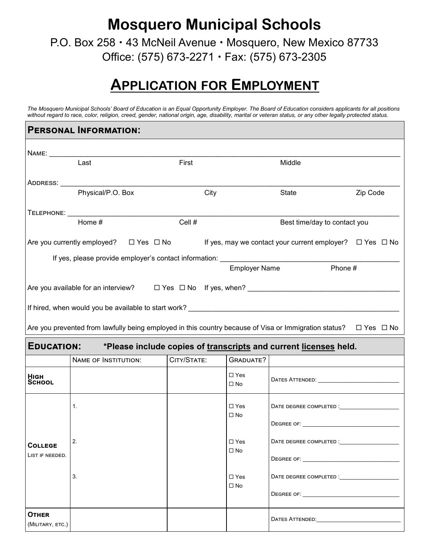**Mosquero Municipal Schools**

P.O. Box 258 · 43 McNeil Avenue · Mosquero, New Mexico 87733 Office: (575) 673-2271 Fax: (575) 673-2305

## **APPLICATION FOR EMPLOYMENT**

*The Mosquero Municipal Schools' Board of Education is an Equal Opportunity Employer. The Board of Education considers applicants for all positions without regard to race, color, religion, creed, gender, national origin, age, disability, marital or veteran status, or any other legally protected status.* 

|                                   | <b>PERSONAL INFORMATION:</b>                                                                                                    |             |                            |                                                   |          |
|-----------------------------------|---------------------------------------------------------------------------------------------------------------------------------|-------------|----------------------------|---------------------------------------------------|----------|
|                                   |                                                                                                                                 |             |                            |                                                   |          |
|                                   | Last                                                                                                                            | First       |                            | Middle                                            |          |
|                                   |                                                                                                                                 |             |                            |                                                   |          |
|                                   | Physical/P.O. Box                                                                                                               | City        |                            | State                                             | Zip Code |
|                                   |                                                                                                                                 |             |                            |                                                   |          |
|                                   | Home #                                                                                                                          | Cell #      |                            | Best time/day to contact you                      |          |
|                                   | Are you currently employed? $\square$ Yes $\square$ No If yes, may we contact your current employer? $\square$ Yes $\square$ No |             |                            |                                                   |          |
|                                   |                                                                                                                                 |             | <b>Employer Name</b>       | Phone #                                           |          |
|                                   |                                                                                                                                 |             |                            |                                                   |          |
|                                   | Are you available for an interview? $\square$ Yes $\square$ No If yes, when?                                                    |             |                            |                                                   |          |
|                                   |                                                                                                                                 |             |                            |                                                   |          |
|                                   | Are you prevented from lawfully being employed in this country because of Visa or Immigration status? □ Yes □ No                |             |                            |                                                   |          |
|                                   | EDUCATION: *Please include copies of transcripts and current licenses held.                                                     |             |                            |                                                   |          |
|                                   | <b>NAME OF INSTITUTION:</b>                                                                                                     | CITY/STATE: | <b>GRADUATE?</b>           |                                                   |          |
| <b>HIGH</b><br>School             |                                                                                                                                 |             | $\square$ Yes<br>$\Box$ No | DATES ATTENDED: University of the CATES ATTENDED: |          |
|                                   | 1.                                                                                                                              |             | $\Box$ Yes                 |                                                   |          |
|                                   |                                                                                                                                 |             | $\Box$ No                  |                                                   |          |
|                                   | 2.                                                                                                                              |             | $\square$ Yes              | DATE DEGREE COMPLETED :                           |          |
| <b>COLLEGE</b><br>LIST IF NEEDED. |                                                                                                                                 |             | $\Box$ No                  |                                                   |          |
|                                   | 3.                                                                                                                              |             | $\Box$ Yes                 | DATE DEGREE COMPLETED :                           |          |
|                                   |                                                                                                                                 |             | $\Box$ No                  |                                                   |          |
|                                   |                                                                                                                                 |             |                            |                                                   |          |
| <b>OTHER</b><br>(MILITARY, ETC.)  |                                                                                                                                 |             |                            |                                                   |          |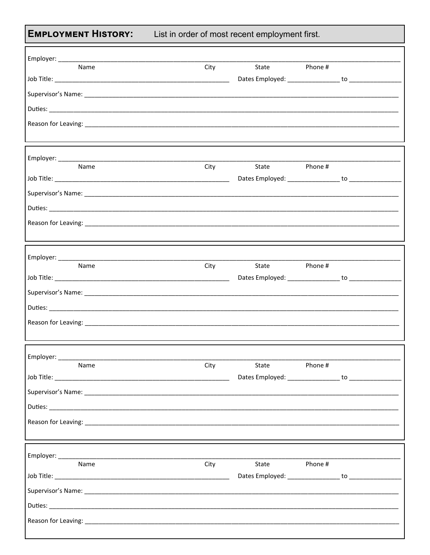**EMPLOYMENT HISTORY:** 

List in order of most recent employment first.

| Name                                                                                                                                                                                                                           | City             | State         | Phone # |  |
|--------------------------------------------------------------------------------------------------------------------------------------------------------------------------------------------------------------------------------|------------------|---------------|---------|--|
|                                                                                                                                                                                                                                |                  |               |         |  |
|                                                                                                                                                                                                                                |                  |               |         |  |
|                                                                                                                                                                                                                                |                  |               |         |  |
|                                                                                                                                                                                                                                |                  |               |         |  |
|                                                                                                                                                                                                                                |                  |               |         |  |
|                                                                                                                                                                                                                                |                  |               |         |  |
| Name                                                                                                                                                                                                                           | <b>City City</b> | State Phone # |         |  |
|                                                                                                                                                                                                                                |                  |               |         |  |
|                                                                                                                                                                                                                                |                  |               |         |  |
|                                                                                                                                                                                                                                |                  |               |         |  |
|                                                                                                                                                                                                                                |                  |               |         |  |
| Reason for Leaving: New York Contract the Contract of the Contract of the Contract of the Contract of the Contract of the Contract of the Contract of the Contract of the Contract of the Contract of the Contract of the Cont |                  |               |         |  |
|                                                                                                                                                                                                                                |                  |               |         |  |
|                                                                                                                                                                                                                                |                  |               |         |  |
| Name                                                                                                                                                                                                                           | City             | State Phone # |         |  |
|                                                                                                                                                                                                                                |                  |               |         |  |
| Supervisor's Name: Supervisor's Name: Supervisor Supervisor Supervisor Supervisor's Name: Supervisor's Name: Supervisor                                                                                                        |                  |               |         |  |
|                                                                                                                                                                                                                                |                  |               |         |  |
|                                                                                                                                                                                                                                |                  |               |         |  |
|                                                                                                                                                                                                                                |                  |               |         |  |
|                                                                                                                                                                                                                                |                  |               |         |  |
| Employer: ______<br>Name                                                                                                                                                                                                       | City             | State         | Phone # |  |
|                                                                                                                                                                                                                                |                  |               |         |  |
|                                                                                                                                                                                                                                |                  |               |         |  |
|                                                                                                                                                                                                                                |                  |               |         |  |
| Reason for Leaving: 1990 and 2000 and 2000 and 2000 and 2000 and 2000 and 2000 and 2000 and 2000 and 2000 and 2000 and 2000 and 2000 and 2000 and 2000 and 2000 and 2000 and 2000 and 2000 and 2000 and 2000 and 2000 and 2000 |                  |               |         |  |
|                                                                                                                                                                                                                                |                  |               |         |  |
|                                                                                                                                                                                                                                |                  |               |         |  |
| Name                                                                                                                                                                                                                           | City             | State         | Phone # |  |
|                                                                                                                                                                                                                                |                  |               |         |  |
|                                                                                                                                                                                                                                |                  |               |         |  |
|                                                                                                                                                                                                                                |                  |               |         |  |
|                                                                                                                                                                                                                                |                  |               |         |  |
|                                                                                                                                                                                                                                |                  |               |         |  |
|                                                                                                                                                                                                                                |                  |               |         |  |